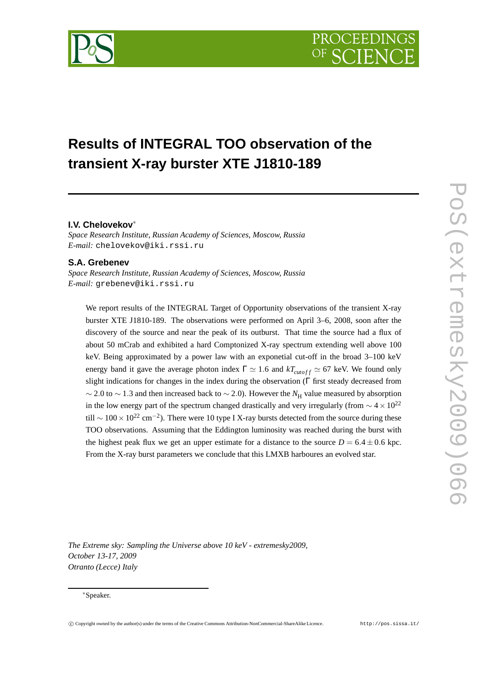# **Results of INTEGRAL TOO observation of the transient X-ray burster XTE J1810-189**

## **I.V. Chelovekov**<sup>∗</sup>

*Space Research Institute, Russian Academy of Sciences, Moscow, Russia E-mail:* chelovekov@iki.rssi.ru

# **S.A. Grebenev**

*Space Research Institute, Russian Academy of Sciences, Moscow, Russia E-mail:* grebenev@iki.rssi.ru

We report results of the INTEGRAL Target of Opportunity observations of the transient X-ray burster XTE J1810-189. The observations were performed on April 3–6, 2008, soon after the discovery of the source and near the peak of its outburst. That time the source had a flux of about 50 mCrab and exhibited a hard Comptonized X-ray spectrum extending well above 100 keV. Being approximated by a power law with an exponetial cut-off in the broad 3–100 keV energy band it gave the average photon index  $\Gamma \simeq 1.6$  and  $kT_{cutoff} \simeq 67$  keV. We found only slight indications for changes in the index during the observation (Γ first steady decreased from  $\sim$  2.0 to  $\sim$  1.3 and then increased back to  $\sim$  2.0). However the  $N_{\rm H}$  value measured by absorption in the low energy part of the spectrum changed drastically and very irregularly (from  $\sim 4 \times 10^{22}$ till  $\sim 100 \times 10^{22}$  cm<sup>-2</sup>). There were 10 type I X-ray bursts detected from the source during these TOO observations. Assuming that the Eddington luminosity was reached during the burst with the highest peak flux we get an upper estimate for a distance to the source  $D = 6.4 \pm 0.6$  kpc. From the X-ray burst parameters we conclude that this LMXB harboures an evolved star.

*The Extreme sky: Sampling the Universe above 10 keV - extremesky2009, October 13-17, 2009 Otranto (Lecce) Italy*

#### <sup>∗</sup>Speaker.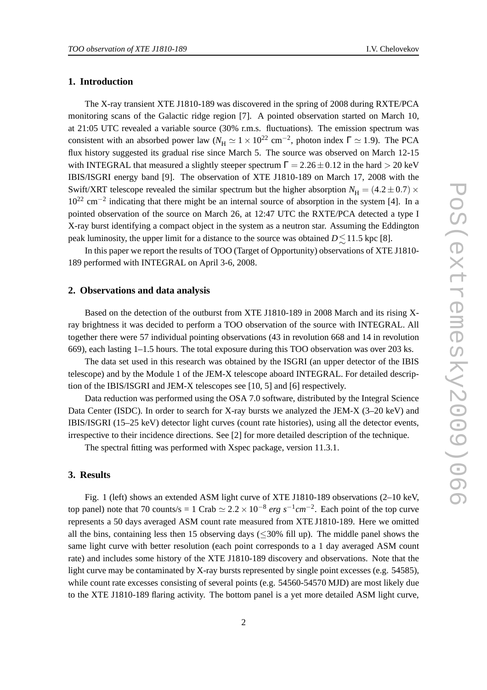#### **1. Introduction**

The X-ray transient XTE J1810-189 was discovered in the spring of 2008 during RXTE/PCA monitoring scans of the Galactic ridge region [7]. A pointed observation started on March 10, at 21:05 UTC revealed a variable source (30% r.m.s. fluctuations). The emission spectrum was consistent with an absorbed power law ( $N_H \simeq 1 \times 10^{22}$  cm<sup>-2</sup>, photon index  $\Gamma \simeq 1.9$ ). The PCA flux history suggested its gradual rise since March 5. The source was observed on March 12-15 with INTEGRAL that measured a slightly steeper spectrum  $\Gamma = 2.26 \pm 0.12$  in the hard  $> 20$  keV IBIS/ISGRI energy band [9]. The observation of XTE J1810-189 on March 17, 2008 with the Swift/XRT telescope revealed the similar spectrum but the higher absorption  $N_{\rm H} = (4.2 \pm 0.7) \times$  $10^{22}$  cm<sup>-2</sup> indicating that there might be an internal source of absorption in the system [4]. In a pointed observation of the source on March 26, at 12:47 UTC the RXTE/PCA detected a type I X-ray burst identifying a compact object in the system as a neutron star. Assuming the Eddington peak luminosity, the upper limit for a distance to the source was obtained  $D \lesssim 11.5$  kpc [8].

In this paper we report the results of TOO (Target of Opportunity) observations of XTE J1810- 189 performed with INTEGRAL on April 3-6, 2008.

### **2. Observations and data analysis**

Based on the detection of the outburst from XTE J1810-189 in 2008 March and its rising Xray brightness it was decided to perform a TOO observation of the source with INTEGRAL. All together there were 57 individual pointing observations (43 in revolution 668 and 14 in revolution 669), each lasting 1–1.5 hours. The total exposure during this TOO observation was over 203 ks.

The data set used in this research was obtained by the ISGRI (an upper detector of the IBIS telescope) and by the Module 1 of the JEM-X telescope aboard INTEGRAL. For detailed description of the IBIS/ISGRI and JEM-X telescopes see [10, 5] and [6] respectively.

Data reduction was performed using the OSA 7.0 software, distributed by the Integral Science Data Center (ISDC). In order to search for X-ray bursts we analyzed the JEM-X (3–20 keV) and IBIS/ISGRI (15–25 keV) detector light curves (count rate histories), using all the detector events, irrespective to their incidence directions. See [2] for more detailed description of the technique.

The spectral fitting was performed with Xspec package, version 11.3.1.

#### **3. Results**

Fig. 1 (left) shows an extended ASM light curve of XTE J1810-189 observations (2–10 keV, top panel) note that 70 counts/s = 1 Crab  $\simeq 2.2 \times 10^{-8}$  erg s<sup>-1</sup>cm<sup>-2</sup>. Each point of the top curve represents a 50 days averaged ASM count rate measured from XTE J1810-189. Here we omitted all the bins, containing less then 15 observing days ( $\leq$ 30% fill up). The middle panel shows the same light curve with better resolution (each point corresponds to a 1 day averaged ASM count rate) and includes some history of the XTE J1810-189 discovery and observations. Note that the light curve may be contaminated by X-ray bursts represented by single point excesses (e.g. 54585), while count rate excesses consisting of several points (e.g. 54560-54570 MJD) are most likely due to the XTE J1810-189 flaring activity. The bottom panel is a yet more detailed ASM light curve,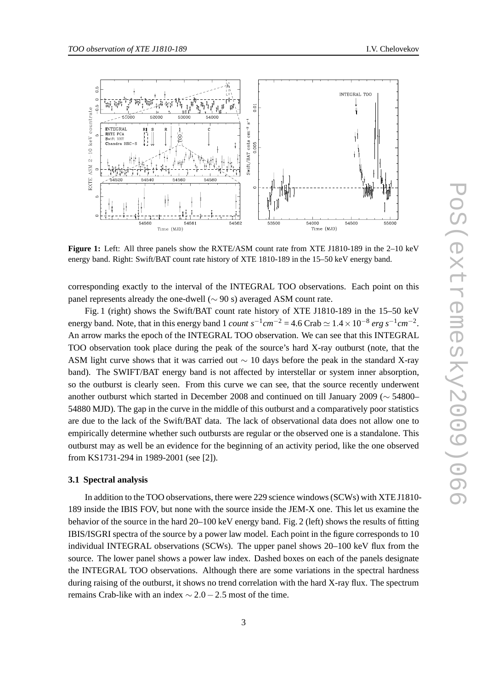

**Figure 1:** Left: All three panels show the RXTE/ASM count rate from XTE J1810-189 in the 2–10 keV energy band. Right: Swift/BAT count rate history of XTE 1810-189 in the 15–50 keV energy band.

corresponding exactly to the interval of the INTEGRAL TOO observations. Each point on this panel represents already the one-dwell ( $\sim$  90 s) averaged ASM count rate.

Fig. 1 (right) shows the Swift/BAT count rate history of XTE J1810-189 in the 15–50 keV energy band. Note, that in this energy band 1 *count*  $s^{-1}cm^{-2} = 4.6$  Crab  $\simeq 1.4 \times 10^{-8}$  erg  $s^{-1}cm^{-2}$ . An arrow marks the epoch of the INTEGRAL TOO observation. We can see that this INTEGRAL TOO observation took place during the peak of the source's hard X-ray outburst (note, that the ASM light curve shows that it was carried out  $\sim$  10 days before the peak in the standard X-ray band). The SWIFT/BAT energy band is not affected by interstellar or system inner absorption, so the outburst is clearly seen. From this curve we can see, that the source recently underwent another outburst which started in December 2008 and continued on till January 2009 (∼ 54800– 54880 MJD). The gap in the curve in the middle of this outburst and a comparatively poor statistics are due to the lack of the Swift/BAT data. The lack of observational data does not allow one to empirically determine whether such outbursts are regular or the observed one is a standalone. This outburst may as well be an evidence for the beginning of an activity period, like the one observed from KS1731-294 in 1989-2001 (see [2]).

#### **3.1 Spectral analysis**

In addition to the TOO observations, there were 229 science windows (SCWs) with XTE J1810- 189 inside the IBIS FOV, but none with the source inside the JEM-X one. This let us examine the behavior of the source in the hard 20–100 keV energy band. Fig. 2 (left) shows the results of fitting IBIS/ISGRI spectra of the source by a power law model. Each point in the figure corresponds to 10 individual INTEGRAL observations (SCWs). The upper panel shows 20–100 keV flux from the source. The lower panel shows a power law index. Dashed boxes on each of the panels designate the INTEGRAL TOO observations. Although there are some variations in the spectral hardness during raising of the outburst, it shows no trend correlation with the hard X-ray flux. The spectrum remains Crab-like with an index  $\sim$  2.0 – 2.5 most of the time.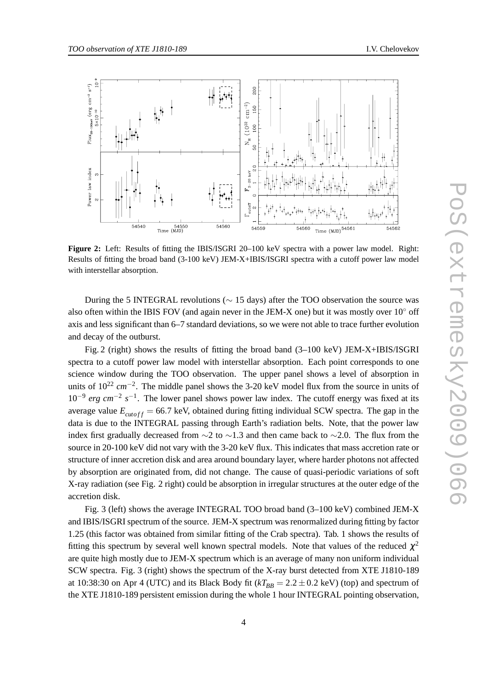

**Figure 2:** Left: Results of fitting the IBIS/ISGRI 20–100 keV spectra with a power law model. Right: Results of fitting the broad band (3-100 keV) JEM-X+IBIS/ISGRI spectra with a cutoff power law model with interstellar absorption.

During the 5 INTEGRAL revolutions ( $\sim$  15 days) after the TOO observation the source was also often within the IBIS FOV (and again never in the JEM-X one) but it was mostly over  $10°$  off axis and less significant than 6–7 standard deviations, so we were not able to trace further evolution and decay of the outburst.

Fig. 2 (right) shows the results of fitting the broad band (3–100 keV) JEM-X+IBIS/ISGRI spectra to a cutoff power law model with interstellar absorption. Each point corresponds to one science window during the TOO observation. The upper panel shows a level of absorption in units of 10<sup>22</sup> *cm*<sup>−2</sup>. The middle panel shows the 3-20 keV model flux from the source in units of 10<sup>-9</sup> erg cm<sup>-2</sup> s<sup>-1</sup>. The lower panel shows power law index. The cutoff energy was fixed at its average value  $E_{\text{cutoff}} = 66.7$  keV, obtained during fitting individual SCW spectra. The gap in the data is due to the INTEGRAL passing through Earth's radiation belts. Note, that the power law index first gradually decreased from  $\sim$ 2 to  $\sim$ 1.3 and then came back to  $\sim$ 2.0. The flux from the source in 20-100 keV did not vary with the 3-20 keV flux. This indicates that mass accretion rate or structure of inner accretion disk and area around boundary layer, where harder photons not affected by absorption are originated from, did not change. The cause of quasi-periodic variations of soft X-ray radiation (see Fig. 2 right) could be absorption in irregular structures at the outer edge of the accretion disk.

Fig. 3 (left) shows the average INTEGRAL TOO broad band (3–100 keV) combined JEM-X and IBIS/ISGRI spectrum of the source. JEM-X spectrum was renormalized during fitting by factor 1.25 (this factor was obtained from similar fitting of the Crab spectra). Tab. 1 shows the results of fitting this spectrum by several well known spectral models. Note that values of the reduced  $\chi^2$ are quite high mostly due to JEM-X spectrum which is an average of many non uniform individual SCW spectra. Fig. 3 (right) shows the spectrum of the X-ray burst detected from XTE J1810-189 at 10:38:30 on Apr 4 (UTC) and its Black Body fit ( $kT_{BB} = 2.2 \pm 0.2$  keV) (top) and spectrum of the XTE J1810-189 persistent emission during the whole 1 hour INTEGRAL pointing observation,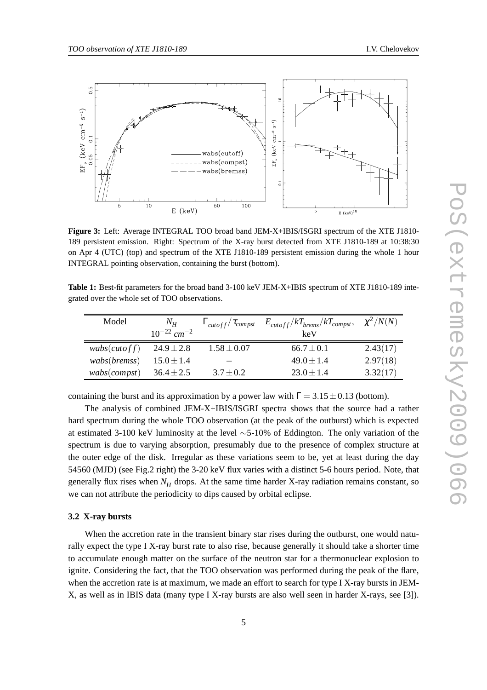

**Figure 3:** Left: Average INTEGRAL TOO broad band JEM-X+IBIS/ISGRI spectrum of the XTE J1810- 189 persistent emission. Right: Spectrum of the X-ray burst detected from XTE J1810-189 at 10:38:30 on Apr 4 (UTC) (top) and spectrum of the XTE J1810-189 persistent emission during the whole 1 hour INTEGRAL pointing observation, containing the burst (bottom).

**Table 1:** Best-fit parameters for the broad band 3-100 keV JEM-X+IBIS spectrum of XTE J1810-189 integrated over the whole set of TOO observations.

| Model        | $N_H$                       | $\Gamma_{\text{cutoff}}/\tau_{\text{compst}}$ | $E_{\text{cutoff}}/kT_{\text{brems}}/kT_{\text{compst}},$ | $\chi^2/N(N)$ |
|--------------|-----------------------------|-----------------------------------------------|-----------------------------------------------------------|---------------|
|              | $10^{-22}$ cm <sup>-2</sup> |                                               | keV                                                       |               |
| wabs(cutoff) | $24.9 \pm 2.8$              | $1.58 \pm 0.07$                               | $66.7 \pm 0.1$                                            | 2.43(17)      |
| wabs(bremss) | $15.0 \pm 1.4$              |                                               | $49.0 \pm 1.4$                                            | 2.97(18)      |
| wabs(compst) | $36.4 \pm 2.5$              | $3.7 \pm 0.2$                                 | $23.0 \pm 1.4$                                            | 3.32(17)      |

containing the burst and its approximation by a power law with  $\Gamma = 3.15 \pm 0.13$  (bottom).

The analysis of combined JEM-X+IBIS/ISGRI spectra shows that the source had a rather hard spectrum during the whole TOO observation (at the peak of the outburst) which is expected at estimated 3-100 keV luminosity at the level ∼5-10% of Eddington. The only variation of the spectrum is due to varying absorption, presumably due to the presence of complex structure at the outer edge of the disk. Irregular as these variations seem to be, yet at least during the day 54560 (MJD) (see Fig.2 right) the 3-20 keV flux varies with a distinct 5-6 hours period. Note, that generally flux rises when  $N_H$  drops. At the same time harder X-ray radiation remains constant, so we can not attribute the periodicity to dips caused by orbital eclipse.

#### **3.2 X-ray bursts**

When the accretion rate in the transient binary star rises during the outburst, one would naturally expect the type I X-ray burst rate to also rise, because generally it should take a shorter time to accumulate enough matter on the surface of the neutron star for a thermonuclear explosion to ignite. Considering the fact, that the TOO observation was performed during the peak of the flare, when the accretion rate is at maximum, we made an effort to search for type I X-ray bursts in JEM-X, as well as in IBIS data (many type I X-ray bursts are also well seen in harder X-rays, see [3]).